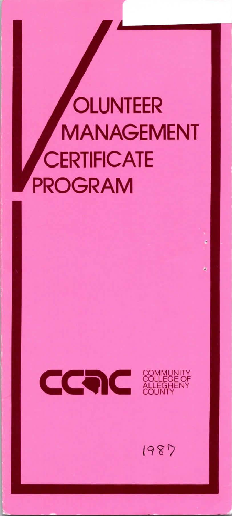# **OLUNTEER MANAGEMENT CERTIFICATE PROGRAM**



1987

ì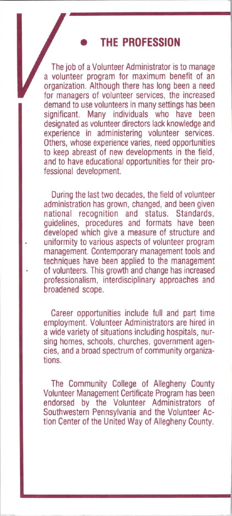### • **THE PROFESSION**

The job of a Volunteer Administrator is to manage a volunteer program for maximum benefit of an organization. Although there has long been a need for managers of volunteer services, the increased demand to use volunteers in many settings has been<br>significant. Many individuals who have been significant. Many individuals who designated as volunteer directors lack knowledge and experience in administering volunteer services. Others, whose experience varies, need opportunities to keep abreast of new developments in the field. and to have educational opportunities for their professional development.

During the last two decades, the field of volunteer administration has grown, changed, and been given national recognition and status. Standards, guidelines, procedures and formats have been developed which give a measure of structure and uniformity to various aspects of volunteer program management. Contemporary management tools and techniques have been applied to the management of volunteers. This growth and change has increased professionalism, interdisciplinary approaches and broadened scope.

Career opportunities include full and part time employment. Volunteer Administrators are hired in a wide variety of situations including hospitals, nursing homes, schools, churches, government agencies, and a broad spectrum of community organizations.

The Community College of Allegheny County Volunteer Management Certificate Program has been endorsed by the Volunteer Administrators of Southwestern Pennsylvania and the Volunteer Action Center of the United Way of Allegheny County.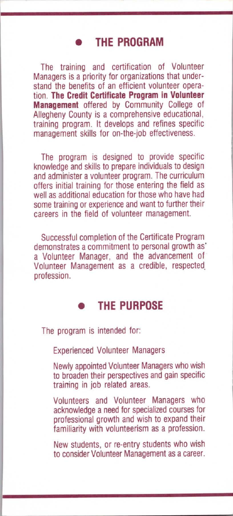## • **THE PROGRAM**

The training and certification of Volunteer Managers is a priority for organizations that understand the benefits of an efficient volunteer operation. **The Credit Certificate Program in Volunteer Management** offered by Community College of Allegheny County is a comprehensive educational, training program. It develops and refines specific management skills for on-the-job effectiveness.

The program is designed to provide specific knowledge and skills to prepare individuals to design and administer a volunteer program. The curriculum offers initial training for those entering the field as well as additional education for those who have had some training or experience and want to further their careers in the field of volunteer management.

Successful completion of the Certificate Program demonstrates a commitment to personal growth as· a Volunteer Manager, and the advancement of Volunteer Management as a credible, respected. profession.

#### • **THE PURPOSE**

The program is intended for:

Experienced Volunteer Managers

Newly appointed Volunteer Managers who wish to broaden their perspectives and gain specific training in job related areas.

Volunteers and Volunteer Managers who acknowledge a need for specialized courses for professional growth and wish to expand their familiarity with volunteerism as a profession.

New students, or re-entry students who wish to consider Volunteer Management as a career.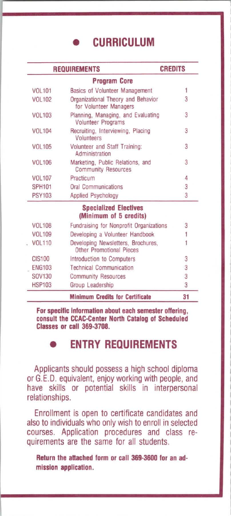• **CURRICULUM** 

| <b>REQUIREMENTS</b> |                                                                 | <b>CREDITS</b> |  |
|---------------------|-----------------------------------------------------------------|----------------|--|
|                     | <b>Program Core</b>                                             |                |  |
| <b>VOL101</b>       | <b>Basics of Volunteer Management</b>                           | 1              |  |
| VOL 102             | Organizational Theory and Behavior<br>for Volunteer Managers    | 3              |  |
| <b>VOL103</b>       | Planning, Managing, and Evaluating<br><b>Volunteer Programs</b> | 3              |  |
| <b>VOL104</b>       | Recruiting, Interviewing, Placing<br><b>Volunteers</b>          | 3              |  |
| <b>VOL105</b>       | <b>Volunteer and Staff Training:</b><br>Administration          | 3              |  |
| <b>VOL106</b>       | Marketing, Public Relations, and<br><b>Community Resources</b>  | 3              |  |
| <b>VOL107</b>       | Practicum                                                       | $\overline{A}$ |  |
| <b>SPH101</b>       | <b>Oral Communications</b>                                      | 3              |  |
| <b>PSY103</b>       | <b>Applied Psychology</b>                                       | 3              |  |
|                     | <b>Specialized Electives</b><br>(Minimum of 5 credits)          |                |  |
| <b>VOL108</b>       | Fundraising for Nonprofit Organizations                         | 3              |  |
| <b>VOL109</b>       | Developing a Volunteer Handbook                                 | Ï              |  |
| <b>VOL110</b>       | Developing Newsletters, Brochures,<br>Other Promotional Pieces  | Ï              |  |
| <b>CIS100</b>       | Introduction to Computers                                       | 3              |  |
| <b>FNG103</b>       | <b>Technical Communication</b>                                  | 3              |  |
| SOV130              | <b>Community Resources</b>                                      | 3              |  |
| <b>HSP103</b>       | Group Leadership                                                | 3              |  |
|                     | <b>Minimum Credits for Certificate</b>                          | 31             |  |

**For specific Information about each semester offering, consult the CCAC-Center North Catalog of Scheduled Classes or call 369-3708.** 

# • **ENTRY REQUIREMENTS**

Applicants should possess a high school diploma or G.E.D. equivalent, enjoy working with people, and have skills or potential skills in interpersonal relationships.

Enrollment is open to certificate candidates and also to individuals who only wish to enroll in selected courses. Application procedures and class requirements are the same tor all students.

**Return the attached form or call 369-3600 for an admission application.**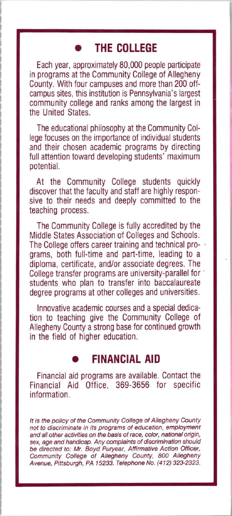## • **THE COLLEGE**

Each year, approximately 80,000 people participate in programs at the Community College of Allegheny County. With four campuses and more than 200 offcampus sites, this institution is Pennsylvania's largest community college and ranks among the largest in the United States

The educational philosophy at the Community College focuses on the importance of individual students and their chosen academic programs by directing full attention toward developing students' maximum potential.

At the Community College students quickly discover that the faculty and staff are highly responsive to their needs and deeply committed to the teaching process.

The Community College is fully accredited by the Middle States Association of Colleges and Schools. The College offers career training and technical programs, both full-time and part-time, leading to a diploma, certificate, and/or associate degrees. The College transfer programs are university-parallel for 1 students who plan to transfer into baccalaureate degree programs at other colleges and universities.

Innovative academic courses and a special dedication to teaching give the Community College of Allegheny County a strong base for continued growth in the field of higher education.

## **FINANCIAL AID**

Financial aid programs are available. Contact the Financial Aid Office, 369-3656 for specific information.

It is the policy of the Community College of Allegheny County not to discriminate in its programs of education, employment and all other activities on the basis of race, color, national origin, sex, age and handicap. Any complaints of discrimination should be directed to: Mr. Boyd Puryear, Affirmative Action Officer, Community College of Allegheny County, 800 Allegheny Avenue, Pittsburgh, PA 15233. Telephone No. (412) 323-2323.